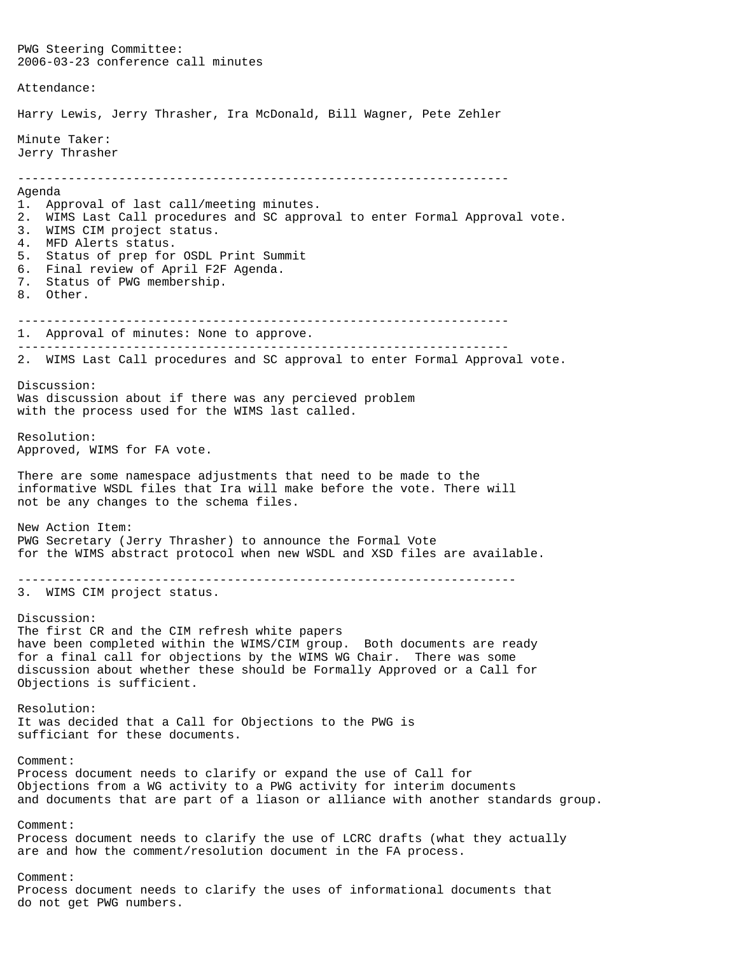PWG Steering Committee: 2006-03-23 conference call minutes Attendance: Harry Lewis, Jerry Thrasher, Ira McDonald, Bill Wagner, Pete Zehler Minute Taker: Jerry Thrasher -------------------------------------------------------------------- Agenda 1. Approval of last call/meeting minutes. 2. WIMS Last Call procedures and SC approval to enter Formal Approval vote. 3. WIMS CIM project status. 4. MFD Alerts status. 5. Status of prep for OSDL Print Summit 6. Final review of April F2F Agenda. 7. Status of PWG membership. 8. Other. -------------------------------------------------------------------- 1. Approval of minutes: None to approve. -------------------------------------------------------------------- 2. WIMS Last Call procedures and SC approval to enter Formal Approval vote. Discussion: Was discussion about if there was any percieved problem with the process used for the WIMS last called. Resolution: Approved, WIMS for FA vote. There are some namespace adjustments that need to be made to the informative WSDL files that Ira will make before the vote. There will not be any changes to the schema files. New Action Item: PWG Secretary (Jerry Thrasher) to announce the Formal Vote for the WIMS abstract protocol when new WSDL and XSD files are available. --------------------------------------------------------------------- 3. WIMS CIM project status. Discussion: The first CR and the CIM refresh white papers have been completed within the WIMS/CIM group. Both documents are ready for a final call for objections by the WIMS WG Chair. There was some discussion about whether these should be Formally Approved or a Call for Objections is sufficient. Resolution: It was decided that a Call for Objections to the PWG is sufficiant for these documents. Comment: Process document needs to clarify or expand the use of Call for Objections from a WG activity to a PWG activity for interim documents and documents that are part of a liason or alliance with another standards group. Comment: Process document needs to clarify the use of LCRC drafts (what they actually are and how the comment/resolution document in the FA process. Comment: Process document needs to clarify the uses of informational documents that do not get PWG numbers.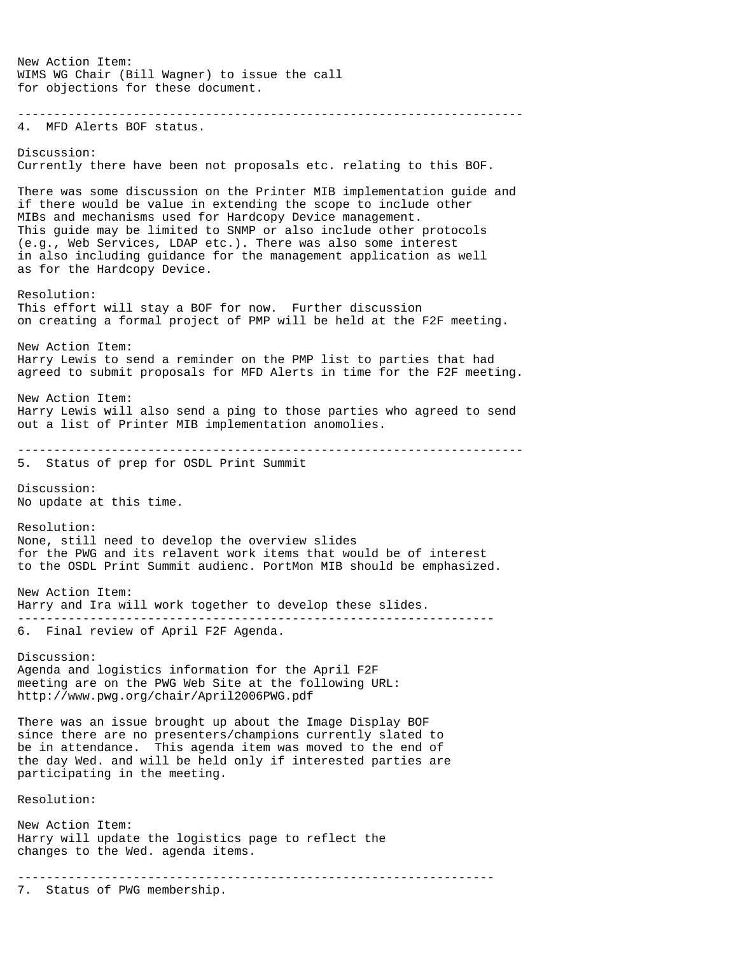New Action Item: WIMS WG Chair (Bill Wagner) to issue the call for objections for these document. ---------------------------------------------------------------------- 4. MFD Alerts BOF status. Discussion: Currently there have been not proposals etc. relating to this BOF. There was some discussion on the Printer MIB implementation guide and if there would be value in extending the scope to include other MIBs and mechanisms used for Hardcopy Device management. This guide may be limited to SNMP or also include other protocols (e.g., Web Services, LDAP etc.). There was also some interest in also including guidance for the management application as well as for the Hardcopy Device. Resolution: This effort will stay a BOF for now. Further discussion on creating a formal project of PMP will be held at the F2F meeting. New Action Item: Harry Lewis to send a reminder on the PMP list to parties that had agreed to submit proposals for MFD Alerts in time for the F2F meeting. New Action Item: Harry Lewis will also send a ping to those parties who agreed to send out a list of Printer MIB implementation anomolies. ---------------------------------------------------------------------- 5. Status of prep for OSDL Print Summit Discussion: No update at this time. Resolution: None, still need to develop the overview slides for the PWG and its relavent work items that would be of interest to the OSDL Print Summit audienc. PortMon MIB should be emphasized. New Action Item: Harry and Ira will work together to develop these slides. ------------------------------------------------------------------ 6. Final review of April F2F Agenda. Discussion: Agenda and logistics information for the April F2F meeting are on the PWG Web Site at the following URL: http://www.pwg.org/chair/April2006PWG.pdf There was an issue brought up about the Image Display BOF since there are no presenters/champions currently slated to be in attendance. This agenda item was moved to the end of the day Wed. and will be held only if interested parties are participating in the meeting. Resolution: New Action Item: Harry will update the logistics page to reflect the changes to the Wed. agenda items. ------------------------------------------------------------------ 7. Status of PWG membership.